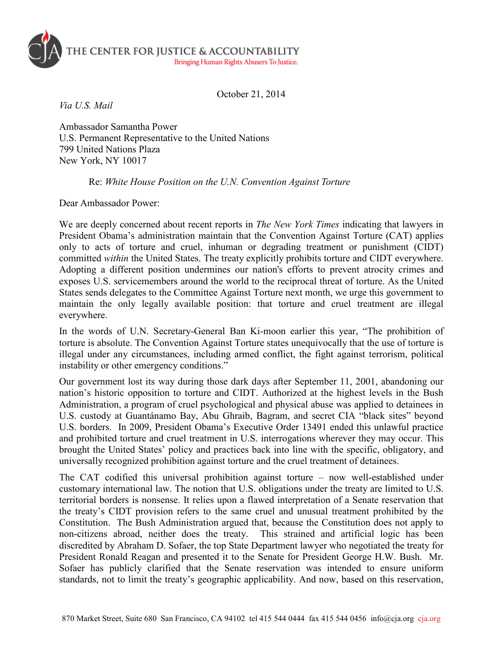

October 21, 2014

*Via U.S. Mail* 

Ambassador Samantha Power U.S. Permanent Representative to the United Nations 799 United Nations Plaza New York, NY 10017

## Re: *White House Position on the U.N. Convention Against Torture*

Dear Ambassador Power:

We are deeply concerned about recent reports in *The New York Times* indicating that lawyers in President Obama's administration maintain that the Convention Against Torture (CAT) applies only to acts of torture and cruel, inhuman or degrading treatment or punishment (CIDT) committed *within* the United States. The treaty explicitly prohibits torture and CIDT everywhere. Adopting a different position undermines our nation's efforts to prevent atrocity crimes and exposes U.S. servicemembers around the world to the reciprocal threat of torture. As the United States sends delegates to the Committee Against Torture next month, we urge this government to maintain the only legally available position: that torture and cruel treatment are illegal everywhere.

In the words of U.N. Secretary-General Ban Ki-moon earlier this year, "The prohibition of torture is absolute. The Convention Against Torture states unequivocally that the use of torture is illegal under any circumstances, including armed conflict, the fight against terrorism, political instability or other emergency conditions."

Our government lost its way during those dark days after September 11, 2001, abandoning our nation's historic opposition to torture and CIDT. Authorized at the highest levels in the Bush Administration, a program of cruel psychological and physical abuse was applied to detainees in U.S. custody at Guantánamo Bay, Abu Ghraib, Bagram, and secret CIA "black sites" beyond U.S. borders. In 2009, President Obama's Executive Order 13491 ended this unlawful practice and prohibited torture and cruel treatment in U.S. interrogations wherever they may occur. This brought the United States' policy and practices back into line with the specific, obligatory, and universally recognized prohibition against torture and the cruel treatment of detainees.

The CAT codified this universal prohibition against torture – now well-established under customary international law. The notion that U.S. obligations under the treaty are limited to U.S. territorial borders is nonsense. It relies upon a flawed interpretation of a Senate reservation that the treaty's CIDT provision refers to the same cruel and unusual treatment prohibited by the Constitution. The Bush Administration argued that, because the Constitution does not apply to non-citizens abroad, neither does the treaty. This strained and artificial logic has been discredited by Abraham D. Sofaer, the top State Department lawyer who negotiated the treaty for President Ronald Reagan and presented it to the Senate for President George H.W. Bush. Mr. Sofaer has publicly clarified that the Senate reservation was intended to ensure uniform standards, not to limit the treaty's geographic applicability. And now, based on this reservation,